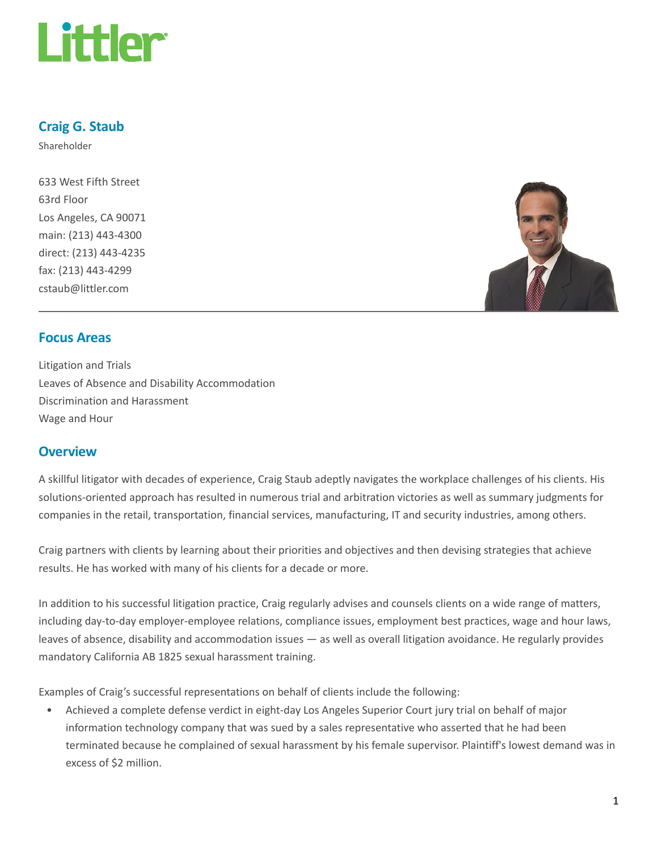

## Craig G. Staub

Shareholder

633 West Fifth Street 63rd Floor Los Angeles, CA 90071 main: (213) 443-4300 direct: (213) 443-4235 fax: (213) 443-4299 cstaub@littler.com



#### Focus Areas

Litigation and Trials Leaves of Absence and Disability Accommodation Discrimination and Harassment Wage and Hour

#### **Overview**

A skillful litigator with decades of experience, Craig Staub adeptly navigates the workplace challenges of his clients. His solutions-oriented approach has resulted in numerous trial and arbitration victories as well as summary judgments for companies in the retail, transportation, financial services, manufacturing, IT and security industries, among others.

Craig partners with clients by learning about their priorities and objectives and then devising strategies that achieve results. He has worked with many of his clients for a decade or more.

In addition to his successful litigation practice, Craig regularly advises and counsels clients on a wide range of matters, including day-to-day employer-employee relations, compliance issues, employment best practices, wage and hour laws, leaves of absence, disability and accommodation issues — as well as overall litigation avoidance. He regularly provides mandatory California AB 1825 sexual harassment training.

Examples of Craig's successful representations on behalf of clients include the following:

• Achieved a complete defense verdict in eight-day Los Angeles Superior Court jury trial on behalf of major information technology company that was sued by a sales representative who asserted that he had been terminated because he complained of sexual harassment by his female supervisor. Plaintiff's lowest demand was in excess of \$2 million.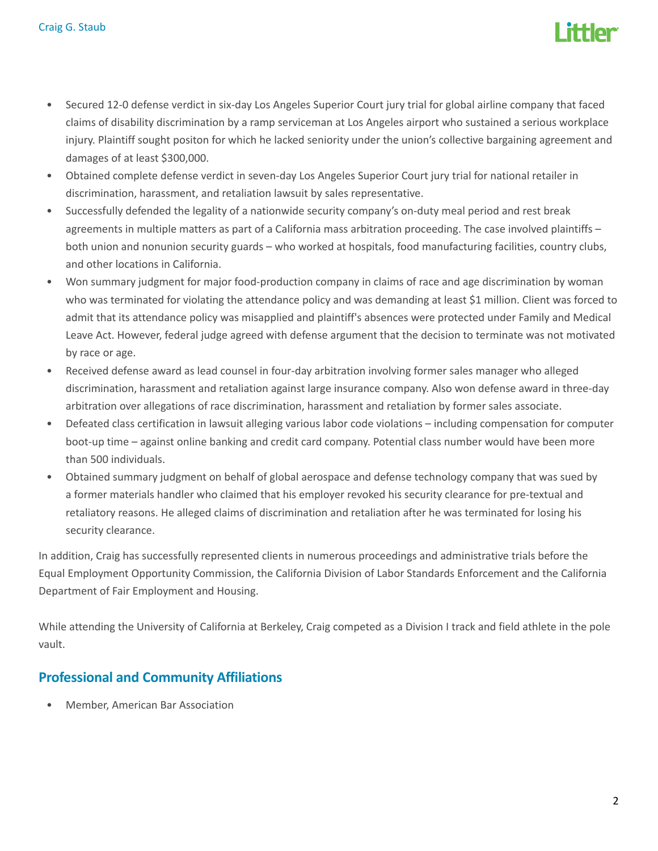

- Secured 12-0 defense verdict in six-day Los Angeles Superior Court jury trial for global airline company that faced claims of disability discrimination by a ramp serviceman at Los Angeles airport who sustained a serious workplace injury. Plaintiff sought positon for which he lacked seniority under the union's collective bargaining agreement and damages of at least \$300,000.
- Obtained complete defense verdict in seven-day Los Angeles Superior Court jury trial for national retailer in discrimination, harassment, and retaliation lawsuit by sales representative.
- Successfully defended the legality of a nationwide security company's on-duty meal period and rest break agreements in multiple matters as part of a California mass arbitration proceeding. The case involved plaintiffs – both union and nonunion security guards – who worked at hospitals, food manufacturing facilities, country clubs, and other locations in California.
- Won summary judgment for major food-production company in claims of race and age discrimination by woman who was terminated for violating the attendance policy and was demanding at least \$1 million. Client was forced to admit that its attendance policy was misapplied and plaintiff's absences were protected under Family and Medical Leave Act. However, federal judge agreed with defense argument that the decision to terminate was not motivated by race or age.
- Received defense award as lead counsel in four-day arbitration involving former sales manager who alleged discrimination, harassment and retaliation against large insurance company. Also won defense award in three-day arbitration over allegations of race discrimination, harassment and retaliation by former sales associate.
- Defeated class certification in lawsuit alleging various labor code violations including compensation for computer boot-up time – against online banking and credit card company. Potential class number would have been more than 500 individuals.
- Obtained summary judgment on behalf of global aerospace and defense technology company that was sued by a former materials handler who claimed that his employer revoked his security clearance for pre-textual and retaliatory reasons. He alleged claims of discrimination and retaliation after he was terminated for losing his security clearance.

In addition, Craig has successfully represented clients in numerous proceedings and administrative trials before the Equal Employment Opportunity Commission, the California Division of Labor Standards Enforcement and the California Department of Fair Employment and Housing.

While attending the University of California at Berkeley, Craig competed as a Division I track and field athlete in the pole vault.

### Professional and Community Affiliations

• Member, American Bar Association